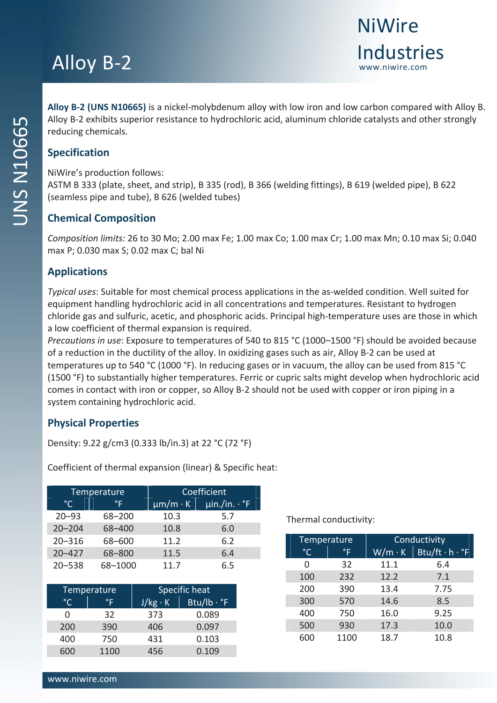# Alloy B-2 **Industries**

**Alloy B‐2 (UNS N10665)** is a nickel‐molybdenum alloy with low iron and low carbon compared with Alloy B. Alloy B‐2 exhibits superior resistance to hydrochloric acid, aluminum chloride catalysts and other strongly reducing chemicals.

NiWire's production follows:

ASTM B 333 (plate, sheet, and strip), B 335 (rod), B 366 (welding fittings), B 619 (welded pipe), B 622 (seamless pipe and tube), B 626 (welded tubes)

### **Chemical Composition**

*Composition limits:* 26 to 30 Mo; 2.00 max Fe; 1.00 max Co; 1.00 max Cr; 1.00 max Mn; 0.10 max Si; 0.040 max P; 0.030 max S; 0.02 max C; bal Ni

### **Applications**

*Typical uses*: Suitable for most chemical process applications in the as‐welded condition. Well suited for equipment handling hydrochloric acid in all concentrations and temperatures. Resistant to hydrogen chloride gas and sulfuric, acetic, and phosphoric acids. Principal high‐temperature uses are those in which a low coefficient of thermal expansion is required.

*Precautions in use*: Exposure to temperatures of 540 to 815 °C (1000–1500 °F) should be avoided because of a reduction in the ductility of the alloy. In oxidizing gases such as air, Alloy B‐2 can be used at temperatures up to 540 °C (1000 °F). In reducing gases or in vacuum, the alloy can be used from 815 °C (1500 °F) to substantially higher temperatures. Ferric or cupric salts might develop when hydrochloric acid comes in contact with iron or copper, so Alloy B‐2 should not be used with copper or iron piping in a system containing hydrochloric acid.

### **Physical Properties**

Density: 9.22 g/cm3 (0.333 lb/in.3) at 22 °C (72 °F)

Coefficient of thermal expansion (linear) & Specific heat:

|              | Temperature | <b>Coefficient</b> |                                     |  |
|--------------|-------------|--------------------|-------------------------------------|--|
| $^{\circ}$ C | °F          | $\mu$ m/m·K        | $\overline{\mu}$ in./in. $\cdot$ °F |  |
| $20 - 93$    | 68-200      | 10.3               | 5.7                                 |  |
| $20 - 204$   | 68-400      | 10.8               | 6.0                                 |  |
| $20 - 316$   | 68-600      | 11.2               | 6.2                                 |  |
| $20 - 427$   | 68-800      | 11.5               | 6.4                                 |  |
| $20 - 538$   | 68-1000     | 11.7               | 6.5                                 |  |

| Temperature |      | Specific heat  |                            |  |
|-------------|------|----------------|----------------------------|--|
| °∩          | °F   | $J/kg \cdot K$ | $Btu/lb \cdot {}^{\circ}F$ |  |
|             | 32   | 373            | 0.089                      |  |
| 200         | 390  | 406            | 0.097                      |  |
| 400         | 750  | 431            | 0.103                      |  |
| 600         | 1100 | 456            | 0.109                      |  |

Thermal conductivity:

| Temperature  |             | Conductivity  |                                 |  |
|--------------|-------------|---------------|---------------------------------|--|
| $^{\circ}$ C | $\degree$ F | $W/m \cdot K$ | $Btu/ft \cdot h \cdot \text{F}$ |  |
| O            | 32          | 11.1          | 6.4                             |  |
| 100          | 232         | 12.2          | 7.1                             |  |
| 200          | 390         | 13.4          | 7.75                            |  |
| 300          | 570         | 14.6          | 8.5                             |  |
| 400          | 750         | 16.0          | 9.25                            |  |
| 500          | 930         | 17.3          | 10.0                            |  |
| 600          | 1100        | 18.7          | 10.8                            |  |

**NiWire**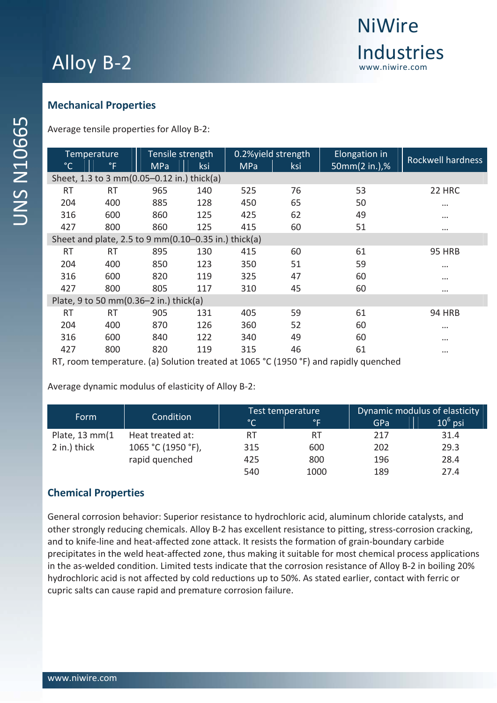

### **Mechanical Properties**

Average tensile properties for Alloy B‐2:

|                                            | Temperature  | Tensile strength                                     |     |            | 0.2%yield strength | Elongation in | <b>Rockwell hardness</b> |
|--------------------------------------------|--------------|------------------------------------------------------|-----|------------|--------------------|---------------|--------------------------|
| $^{\circ}$ C                               | $^{\circ}$ F | <b>MPa</b>                                           | ksi | <b>MPa</b> | ksi                | 50mm(2 in.),% |                          |
| Sheet, 1.3 to 3 mm(0.05-0.12 in.) thick(a) |              |                                                      |     |            |                    |               |                          |
| <b>RT</b>                                  | RT           | 965                                                  | 140 | 525        | 76                 | 53            | 22 HRC                   |
| 204                                        | 400          | 885                                                  | 128 | 450        | 65                 | 50            | $\cdots$                 |
| 316                                        | 600          | 860                                                  | 125 | 425        | 62                 | 49            | $\cdots$                 |
| 427                                        | 800          | 860                                                  | 125 | 415        | 60                 | 51            | $\cdots$                 |
|                                            |              | Sheet and plate, 2.5 to 9 mm(0.10-0.35 in.) thick(a) |     |            |                    |               |                          |
| <b>RT</b>                                  | <b>RT</b>    | 895                                                  | 130 | 415        | 60                 | 61            | <b>95 HRB</b>            |
| 204                                        | 400          | 850                                                  | 123 | 350        | 51                 | 59            | $\cdots$                 |
| 316                                        | 600          | 820                                                  | 119 | 325        | 47                 | 60            | $\cdots$                 |
| 427                                        | 800          | 805                                                  | 117 | 310        | 45                 | 60            | $\cdots$                 |
| Plate, 9 to 50 mm(0.36-2 in.) thick(a)     |              |                                                      |     |            |                    |               |                          |
| <b>RT</b>                                  | RT           | 905                                                  | 131 | 405        | 59                 | 61            | <b>94 HRB</b>            |
| 204                                        | 400          | 870                                                  | 126 | 360        | 52                 | 60            | $\cdots$                 |
| 316                                        | 600          | 840                                                  | 122 | 340        | 49                 | 60            | $\cdots$                 |
| 427                                        | 800          | 820                                                  | 119 | 315        | 46                 | 61            | $\cdots$                 |

RT, room temperature. (a) Solution treated at 1065 °C (1950 °F) and rapidly quenched

Average dynamic modulus of elasticity of Alloy B‐2:

| Form           | Condition          | Test temperature                                                                                                                                                                                                                                                                                                                                                                                                                                              |      | Dynamic modulus of elasticity |            |
|----------------|--------------------|---------------------------------------------------------------------------------------------------------------------------------------------------------------------------------------------------------------------------------------------------------------------------------------------------------------------------------------------------------------------------------------------------------------------------------------------------------------|------|-------------------------------|------------|
|                |                    | $\overline{\ }$ $\overline{\ }$ $\overline{\ }$ $\overline{\ }$ $\overline{\ }$ $\overline{\ }$ $\overline{\ }$ $\overline{\ }$ $\overline{\ }$ $\overline{\ }$ $\overline{\ }$ $\overline{\ }$ $\overline{\ }$ $\overline{\ }$ $\overline{\ }$ $\overline{\ }$ $\overline{\ }$ $\overline{\ }$ $\overline{\ }$ $\overline{\ }$ $\overline{\ }$ $\overline{\ }$ $\overline{\ }$ $\overline{\ }$ $\overline{\ }$ $\overline{\ }$ $\overline{\ }$ $\overline{\$ | °F   | GPa                           | $10^6$ psi |
| Plate, 13 mm(1 | Heat treated at:   | RT                                                                                                                                                                                                                                                                                                                                                                                                                                                            | RT   | 217                           | 31.4       |
| 2 in.) thick   | 1065 °C (1950 °F), | 315                                                                                                                                                                                                                                                                                                                                                                                                                                                           | 600  | 202                           | 29.3       |
|                | rapid quenched     | 425                                                                                                                                                                                                                                                                                                                                                                                                                                                           | 800  | 196                           | 28.4       |
|                |                    | 540                                                                                                                                                                                                                                                                                                                                                                                                                                                           | 1000 | 189                           | 27.4       |

### **Chemical Properties**

General corrosion behavior: Superior resistance to hydrochloric acid, aluminum chloride catalysts, and other strongly reducing chemicals. Alloy B‐2 has excellent resistance to pitting, stress‐corrosion cracking, and to knife-line and heat-affected zone attack. It resists the formation of grain-boundary carbide precipitates in the weld heat‐affected zone, thus making it suitable for most chemical process applications in the as-welded condition. Limited tests indicate that the corrosion resistance of Alloy B-2 in boiling 20% hydrochloric acid is not affected by cold reductions up to 50%. As stated earlier, contact with ferric or cupric salts can cause rapid and premature corrosion failure.